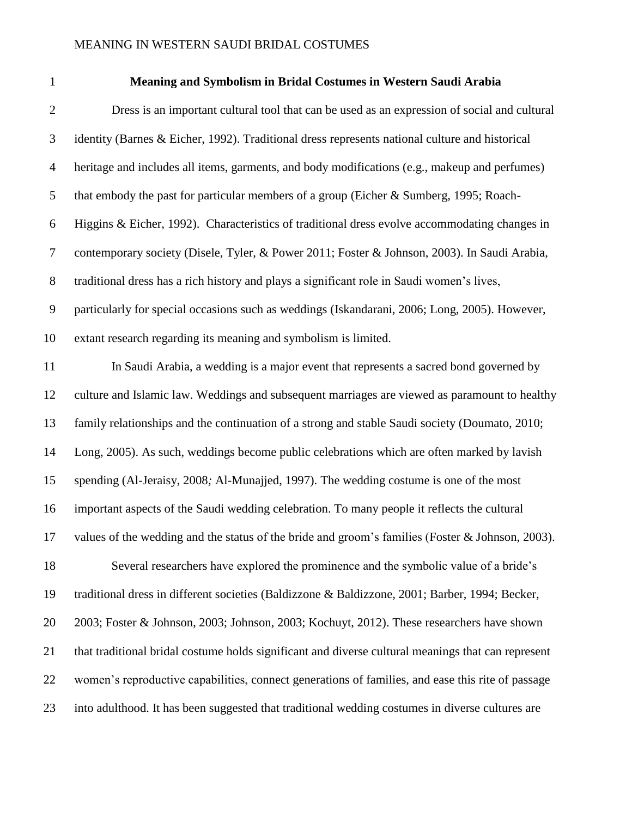| $\mathbf{1}$   | Meaning and Symbolism in Bridal Costumes in Western Saudi Arabia                                   |
|----------------|----------------------------------------------------------------------------------------------------|
| $\overline{2}$ | Dress is an important cultural tool that can be used as an expression of social and cultural       |
| 3              | identity (Barnes & Eicher, 1992). Traditional dress represents national culture and historical     |
| $\overline{4}$ | heritage and includes all items, garments, and body modifications (e.g., makeup and perfumes)      |
| 5              | that embody the past for particular members of a group (Eicher & Sumberg, 1995; Roach-             |
| 6              | Higgins & Eicher, 1992). Characteristics of traditional dress evolve accommodating changes in      |
| $\tau$         | contemporary society (Disele, Tyler, & Power 2011; Foster & Johnson, 2003). In Saudi Arabia,       |
| $8\phantom{1}$ | traditional dress has a rich history and plays a significant role in Saudi women's lives,          |
| 9              | particularly for special occasions such as weddings (Iskandarani, 2006; Long, 2005). However,      |
| 10             | extant research regarding its meaning and symbolism is limited.                                    |
| 11             | In Saudi Arabia, a wedding is a major event that represents a sacred bond governed by              |
| 12             | culture and Islamic law. Weddings and subsequent marriages are viewed as paramount to healthy      |
| 13             | family relationships and the continuation of a strong and stable Saudi society (Doumato, 2010;     |
| 14             | Long, 2005). As such, weddings become public celebrations which are often marked by lavish         |
| 15             | spending (Al-Jeraisy, 2008; Al-Munajjed, 1997). The wedding costume is one of the most             |
| 16             | important aspects of the Saudi wedding celebration. To many people it reflects the cultural        |
| 17             | values of the wedding and the status of the bride and groom's families (Foster & Johnson, 2003).   |
| 18             | Several researchers have explored the prominence and the symbolic value of a bride's               |
| 19             | traditional dress in different societies (Baldizzone & Baldizzone, 2001; Barber, 1994; Becker,     |
| 20             | 2003; Foster & Johnson, 2003; Johnson, 2003; Kochuyt, 2012). These researchers have shown          |
| 21             | that traditional bridal costume holds significant and diverse cultural meanings that can represent |
| 22             | women's reproductive capabilities, connect generations of families, and ease this rite of passage  |
| 23             | into adulthood. It has been suggested that traditional wedding costumes in diverse cultures are    |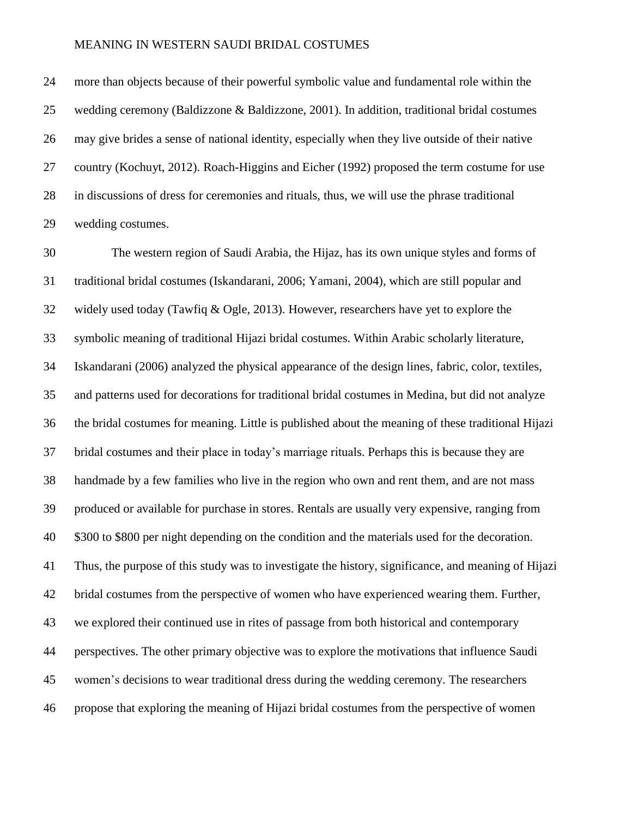more than objects because of their powerful symbolic value and fundamental role within the wedding ceremony (Baldizzone & Baldizzone, 2001). In addition, traditional bridal costumes may give brides a sense of national identity, especially when they live outside of their native country (Kochuyt, 2012). Roach-Higgins and Eicher (1992) proposed the term costume for use in discussions of dress for ceremonies and rituals, thus, we will use the phrase traditional wedding costumes.

 The western region of Saudi Arabia, the Hijaz, has its own unique styles and forms of traditional bridal costumes (Iskandarani, 2006; Yamani, 2004), which are still popular and widely used today (Tawfiq & Ogle, 2013). However, researchers have yet to explore the symbolic meaning of traditional Hijazi bridal costumes. Within Arabic scholarly literature, Iskandarani (2006) analyzed the physical appearance of the design lines, fabric, color, textiles, and patterns used for decorations for traditional bridal costumes in Medina, but did not analyze the bridal costumes for meaning. Little is published about the meaning of these traditional Hijazi bridal costumes and their place in today's marriage rituals. Perhaps this is because they are handmade by a few families who live in the region who own and rent them, and are not mass produced or available for purchase in stores. Rentals are usually very expensive, ranging from \$300 to \$800 per night depending on the condition and the materials used for the decoration. Thus, the purpose of this study was to investigate the history, significance, and meaning of Hijazi bridal costumes from the perspective of women who have experienced wearing them. Further, we explored their continued use in rites of passage from both historical and contemporary perspectives. The other primary objective was to explore the motivations that influence Saudi women's decisions to wear traditional dress during the wedding ceremony. The researchers propose that exploring the meaning of Hijazi bridal costumes from the perspective of women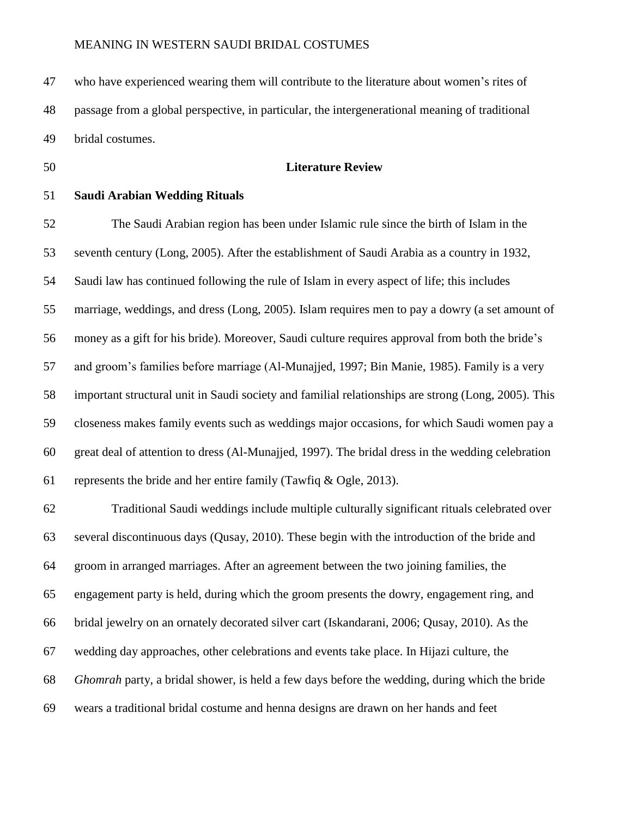who have experienced wearing them will contribute to the literature about women's rites of passage from a global perspective, in particular, the intergenerational meaning of traditional bridal costumes.

#### **Literature Review**

**Saudi Arabian Wedding Rituals**

 The Saudi Arabian region has been under Islamic rule since the birth of Islam in the seventh century (Long, 2005). After the establishment of Saudi Arabia as a country in 1932, Saudi law has continued following the rule of Islam in every aspect of life; this includes marriage, weddings, and dress (Long, 2005). Islam requires men to pay a dowry (a set amount of money as a gift for his bride). Moreover, Saudi culture requires approval from both the bride's and groom's families before marriage (Al-Munajjed, 1997; Bin Manie, 1985). Family is a very important structural unit in Saudi society and familial relationships are strong (Long, 2005). This closeness makes family events such as weddings major occasions, for which Saudi women pay a great deal of attention to dress (Al-Munajjed, 1997). The bridal dress in the wedding celebration represents the bride and her entire family (Tawfiq & Ogle, 2013).

 Traditional Saudi weddings include multiple culturally significant rituals celebrated over several discontinuous days (Qusay, 2010). These begin with the introduction of the bride and groom in arranged marriages. After an agreement between the two joining families, the engagement party is held, during which the groom presents the dowry, engagement ring, and bridal jewelry on an ornately decorated silver cart (Iskandarani, 2006; Qusay, 2010). As the wedding day approaches, other celebrations and events take place. In Hijazi culture, the *Ghomrah* party, a bridal shower, is held a few days before the wedding, during which the bride wears a traditional bridal costume and henna designs are drawn on her hands and feet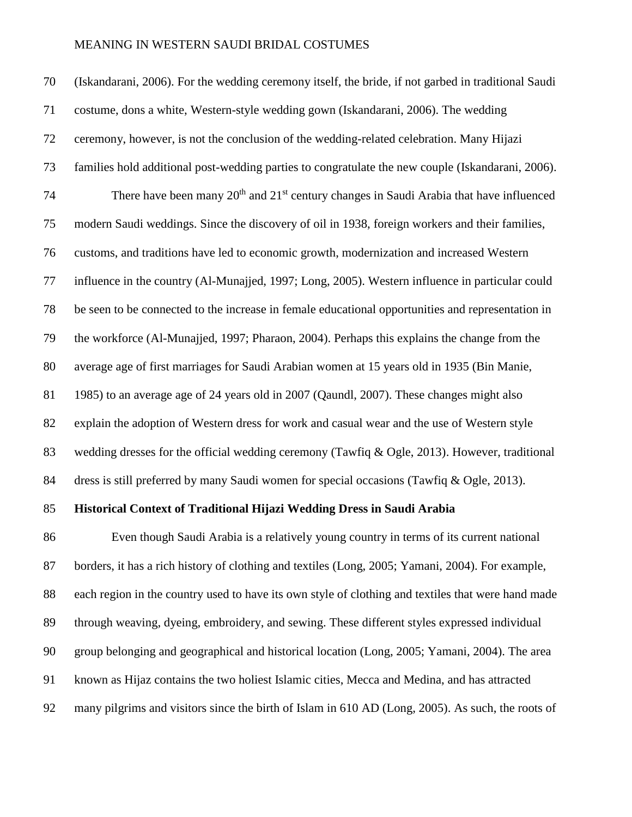(Iskandarani, 2006). For the wedding ceremony itself, the bride, if not garbed in traditional Saudi costume, dons a white, Western-style wedding gown (Iskandarani, 2006). The wedding ceremony, however, is not the conclusion of the wedding-related celebration. Many Hijazi families hold additional post-wedding parties to congratulate the new couple (Iskandarani, 2006). There have been many  $20<sup>th</sup>$  and  $21<sup>st</sup>$  century changes in Saudi Arabia that have influenced modern Saudi weddings. Since the discovery of oil in 1938, foreign workers and their families, customs, and traditions have led to economic growth, modernization and increased Western influence in the country (Al-Munajjed, 1997; Long, 2005). Western influence in particular could be seen to be connected to the increase in female educational opportunities and representation in the workforce (Al-Munajjed, 1997; Pharaon, 2004). Perhaps this explains the change from the average age of first marriages for Saudi Arabian women at 15 years old in 1935 (Bin Manie, 1985) to an average age of 24 years old in 2007 (Qaundl, 2007). These changes might also explain the adoption of Western dress for work and casual wear and the use of Western style wedding dresses for the official wedding ceremony (Tawfiq & Ogle, 2013). However, traditional dress is still preferred by many Saudi women for special occasions (Tawfiq & Ogle, 2013).

#### **Historical Context of Traditional Hijazi Wedding Dress in Saudi Arabia**

 Even though Saudi Arabia is a relatively young country in terms of its current national borders, it has a rich history of clothing and textiles (Long, 2005; Yamani, 2004). For example, each region in the country used to have its own style of clothing and textiles that were hand made through weaving, dyeing, embroidery, and sewing. These different styles expressed individual group belonging and geographical and historical location (Long, 2005; Yamani, 2004). The area known as Hijaz contains the two holiest Islamic cities, Mecca and Medina, and has attracted many pilgrims and visitors since the birth of Islam in 610 AD (Long, 2005). As such, the roots of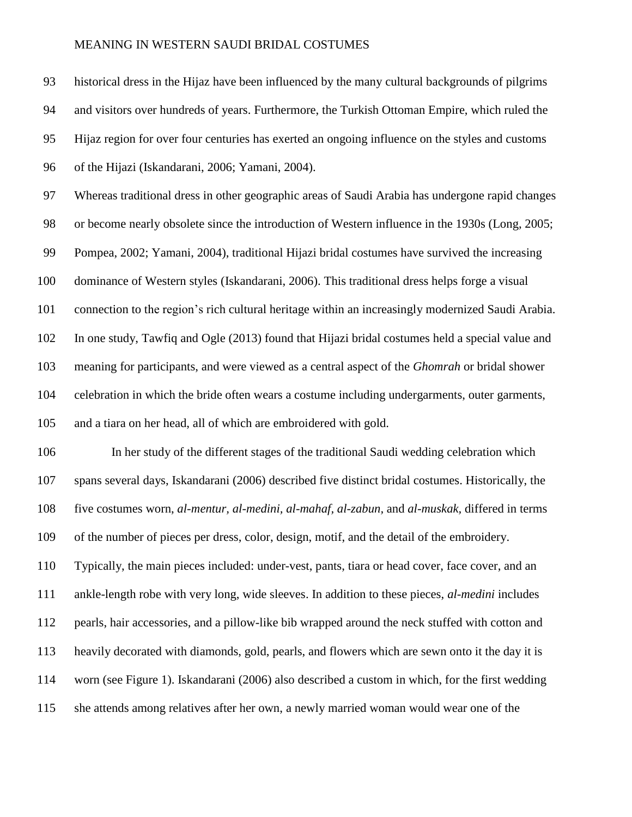historical dress in the Hijaz have been influenced by the many cultural backgrounds of pilgrims and visitors over hundreds of years. Furthermore, the Turkish Ottoman Empire, which ruled the Hijaz region for over four centuries has exerted an ongoing influence on the styles and customs of the Hijazi (Iskandarani, 2006; Yamani, 2004). Whereas traditional dress in other geographic areas of Saudi Arabia has undergone rapid changes or become nearly obsolete since the introduction of Western influence in the 1930s (Long, 2005; Pompea, 2002; Yamani, 2004), traditional Hijazi bridal costumes have survived the increasing dominance of Western styles (Iskandarani, 2006). This traditional dress helps forge a visual connection to the region's rich cultural heritage within an increasingly modernized Saudi Arabia. In one study, Tawfiq and Ogle (2013) found that Hijazi bridal costumes held a special value and meaning for participants, and were viewed as a central aspect of the *Ghomrah* or bridal shower celebration in which the bride often wears a costume including undergarments, outer garments, and a tiara on her head, all of which are embroidered with gold. In her study of the different stages of the traditional Saudi wedding celebration which spans several days, Iskandarani (2006) described five distinct bridal costumes. Historically, the five costumes worn, *al-mentur, al-medini, al-mahaf, al-zabun,* and *al-muskak,* differed in terms of the number of pieces per dress, color, design, motif, and the detail of the embroidery. Typically, the main pieces included: under-vest, pants, tiara or head cover, face cover, and an ankle-length robe with very long, wide sleeves. In addition to these pieces, *al-medini* includes pearls, hair accessories, and a pillow-like bib wrapped around the neck stuffed with cotton and heavily decorated with diamonds, gold, pearls, and flowers which are sewn onto it the day it is worn (see Figure 1). Iskandarani (2006) also described a custom in which, for the first wedding

she attends among relatives after her own, a newly married woman would wear one of the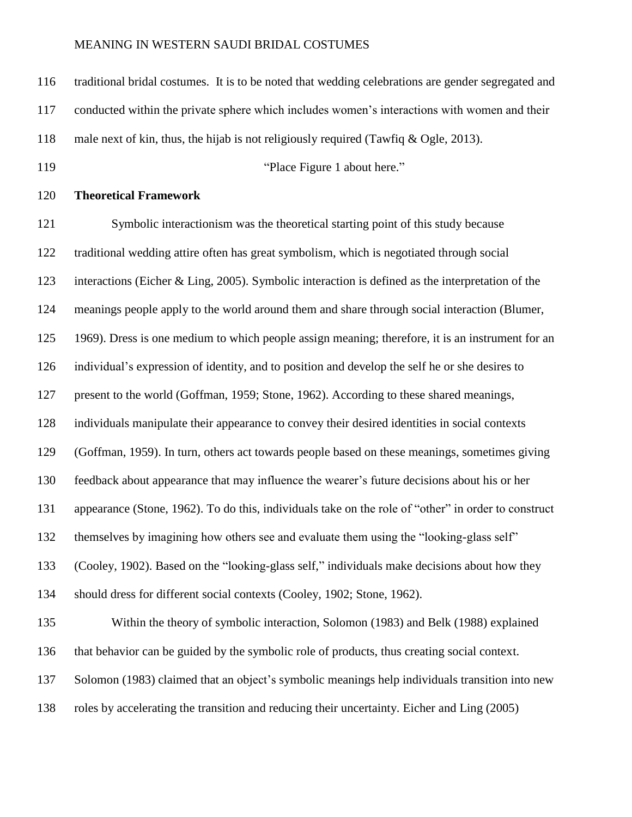| 116 | traditional bridal costumes. It is to be noted that wedding celebrations are gender segregated and  |
|-----|-----------------------------------------------------------------------------------------------------|
| 117 | conducted within the private sphere which includes women's interactions with women and their        |
| 118 | male next of kin, thus, the hijab is not religiously required (Tawfiq & Ogle, 2013).                |
| 119 | "Place Figure 1 about here."                                                                        |
| 120 | <b>Theoretical Framework</b>                                                                        |
| 121 | Symbolic interactionism was the theoretical starting point of this study because                    |
| 122 | traditional wedding attire often has great symbolism, which is negotiated through social            |
| 123 | interactions (Eicher & Ling, 2005). Symbolic interaction is defined as the interpretation of the    |
| 124 | meanings people apply to the world around them and share through social interaction (Blumer,        |
| 125 | 1969). Dress is one medium to which people assign meaning; therefore, it is an instrument for an    |
| 126 | individual's expression of identity, and to position and develop the self he or she desires to      |
| 127 | present to the world (Goffman, 1959; Stone, 1962). According to these shared meanings,              |
| 128 | individuals manipulate their appearance to convey their desired identities in social contexts       |
| 129 | (Goffman, 1959). In turn, others act towards people based on these meanings, sometimes giving       |
| 130 | feedback about appearance that may influence the wearer's future decisions about his or her         |
| 131 | appearance (Stone, 1962). To do this, individuals take on the role of "other" in order to construct |
| 132 | themselves by imagining how others see and evaluate them using the "looking-glass self"             |
| 133 | (Cooley, 1902). Based on the "looking-glass self," individuals make decisions about how they        |
| 134 | should dress for different social contexts (Cooley, 1902; Stone, 1962).                             |
| 135 | Within the theory of symbolic interaction, Solomon (1983) and Belk (1988) explained                 |
| 136 | that behavior can be guided by the symbolic role of products, thus creating social context.         |
| 137 | Solomon (1983) claimed that an object's symbolic meanings help individuals transition into new      |
| 138 | roles by accelerating the transition and reducing their uncertainty. Eicher and Ling (2005)         |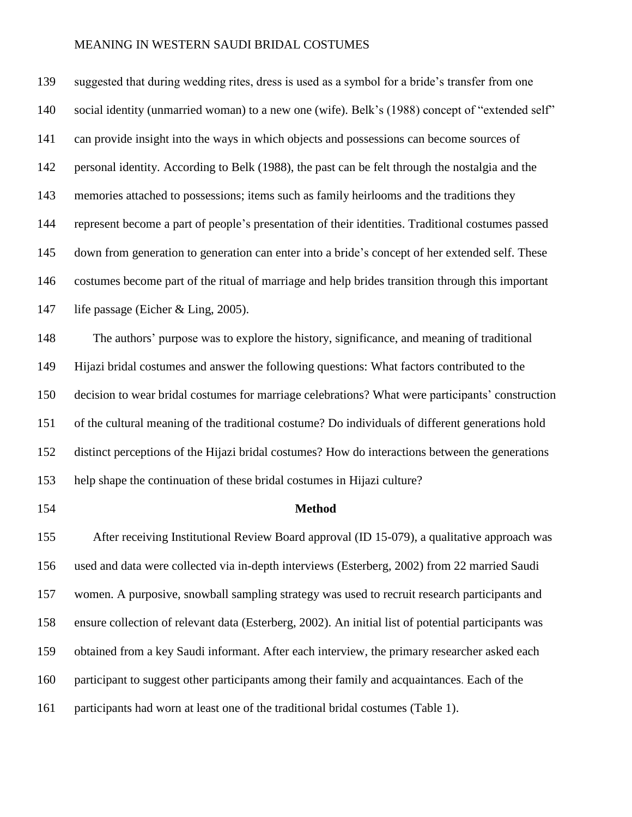| 139 | suggested that during wedding rites, dress is used as a symbol for a bride's transfer from one      |
|-----|-----------------------------------------------------------------------------------------------------|
| 140 | social identity (unmarried woman) to a new one (wife). Belk's (1988) concept of "extended self"     |
| 141 | can provide insight into the ways in which objects and possessions can become sources of            |
| 142 | personal identity. According to Belk (1988), the past can be felt through the nostalgia and the     |
| 143 | memories attached to possessions; items such as family heirlooms and the traditions they            |
| 144 | represent become a part of people's presentation of their identities. Traditional costumes passed   |
| 145 | down from generation to generation can enter into a bride's concept of her extended self. These     |
| 146 | costumes become part of the ritual of marriage and help brides transition through this important    |
| 147 | life passage (Eicher & Ling, 2005).                                                                 |
| 148 | The authors' purpose was to explore the history, significance, and meaning of traditional           |
| 149 | Hijazi bridal costumes and answer the following questions: What factors contributed to the          |
| 150 | decision to wear bridal costumes for marriage celebrations? What were participants' construction    |
| 151 | of the cultural meaning of the traditional costume? Do individuals of different generations hold    |
| 152 | distinct perceptions of the Hijazi bridal costumes? How do interactions between the generations     |
| 153 | help shape the continuation of these bridal costumes in Hijazi culture?                             |
| 154 | <b>Method</b>                                                                                       |
| 155 | After receiving Institutional Review Board approval (ID 15-079), a qualitative approach was         |
| 156 | used and data were collected via in-depth interviews (Esterberg, 2002) from 22 married Saudi        |
| 157 | women. A purposive, snowball sampling strategy was used to recruit research participants and        |
| 158 | ensure collection of relevant data (Esterberg, 2002). An initial list of potential participants was |
| 159 | obtained from a key Saudi informant. After each interview, the primary researcher asked each        |
| 160 | participant to suggest other participants among their family and acquaintances. Each of the         |
| 161 | participants had worn at least one of the traditional bridal costumes (Table 1).                    |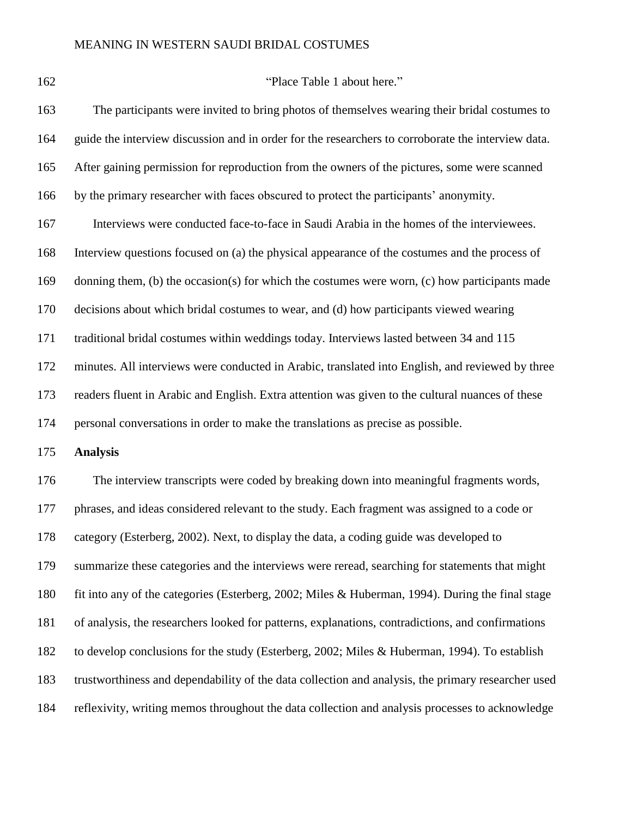#### "Place Table 1 about here."

 The participants were invited to bring photos of themselves wearing their bridal costumes to guide the interview discussion and in order for the researchers to corroborate the interview data. After gaining permission for reproduction from the owners of the pictures, some were scanned by the primary researcher with faces obscured to protect the participants' anonymity. Interviews were conducted face-to-face in Saudi Arabia in the homes of the interviewees. Interview questions focused on (a) the physical appearance of the costumes and the process of donning them, (b) the occasion(s) for which the costumes were worn, (c) how participants made decisions about which bridal costumes to wear, and (d) how participants viewed wearing traditional bridal costumes within weddings today. Interviews lasted between 34 and 115 minutes. All interviews were conducted in Arabic, translated into English, and reviewed by three readers fluent in Arabic and English. Extra attention was given to the cultural nuances of these personal conversations in order to make the translations as precise as possible. **Analysis** The interview transcripts were coded by breaking down into meaningful fragments words, phrases, and ideas considered relevant to the study. Each fragment was assigned to a code or category (Esterberg, 2002). Next, to display the data, a coding guide was developed to summarize these categories and the interviews were reread, searching for statements that might fit into any of the categories (Esterberg, 2002; Miles & Huberman, 1994). During the final stage of analysis, the researchers looked for patterns, explanations, contradictions, and confirmations to develop conclusions for the study (Esterberg, 2002; Miles & Huberman, 1994). To establish trustworthiness and dependability of the data collection and analysis, the primary researcher used reflexivity, writing memos throughout the data collection and analysis processes to acknowledge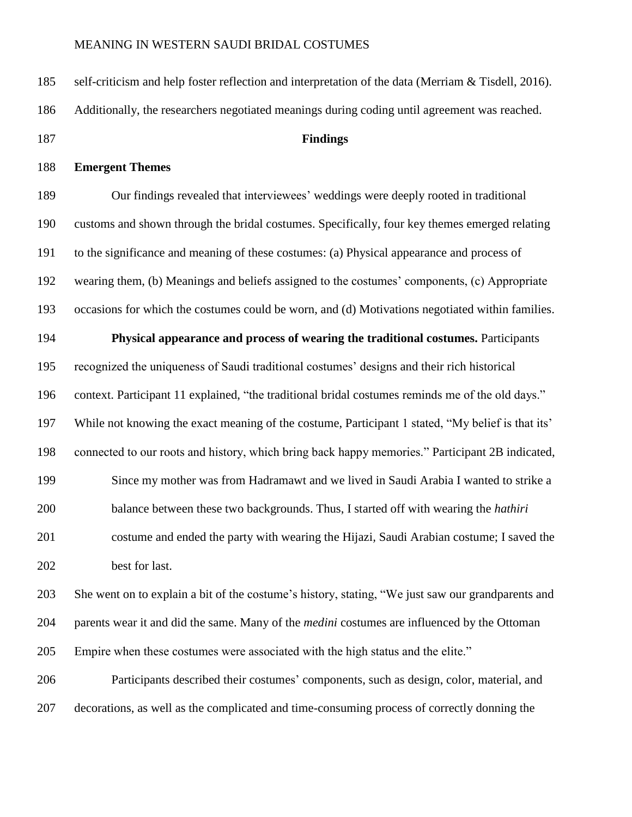| 185 | self-criticism and help foster reflection and interpretation of the data (Merriam & Tisdell, 2016). |
|-----|-----------------------------------------------------------------------------------------------------|
| 186 | Additionally, the researchers negotiated meanings during coding until agreement was reached.        |
| 187 | <b>Findings</b>                                                                                     |
| 188 | <b>Emergent Themes</b>                                                                              |
| 189 | Our findings revealed that interviewees' weddings were deeply rooted in traditional                 |
| 190 | customs and shown through the bridal costumes. Specifically, four key themes emerged relating       |
| 191 | to the significance and meaning of these costumes: (a) Physical appearance and process of           |
| 192 | wearing them, (b) Meanings and beliefs assigned to the costumes' components, (c) Appropriate        |
| 193 | occasions for which the costumes could be worn, and (d) Motivations negotiated within families.     |
| 194 | Physical appearance and process of wearing the traditional costumes. Participants                   |
| 195 | recognized the uniqueness of Saudi traditional costumes' designs and their rich historical          |
| 196 | context. Participant 11 explained, "the traditional bridal costumes reminds me of the old days."    |
| 197 | While not knowing the exact meaning of the costume, Participant 1 stated, "My belief is that its'   |
| 198 | connected to our roots and history, which bring back happy memories." Participant 2B indicated,     |
| 199 | Since my mother was from Hadramawt and we lived in Saudi Arabia I wanted to strike a                |
| 200 | balance between these two backgrounds. Thus, I started off with wearing the hathiri                 |
| 201 | costume and ended the party with wearing the Hijazi, Saudi Arabian costume; I saved the             |
| 202 | best for last.                                                                                      |
| 203 | She went on to explain a bit of the costume's history, stating, "We just saw our grandparents and   |
| 204 | parents wear it and did the same. Many of the <i>medini</i> costumes are influenced by the Ottoman  |
| 205 | Empire when these costumes were associated with the high status and the elite."                     |
| 206 | Participants described their costumes' components, such as design, color, material, and             |
| 207 | decorations, as well as the complicated and time-consuming process of correctly donning the         |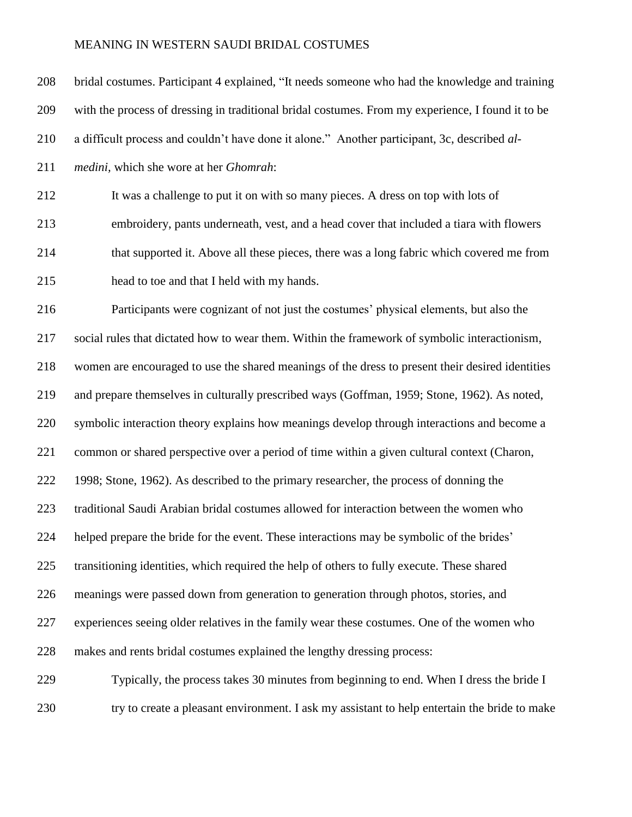| 208 | bridal costumes. Participant 4 explained, "It needs someone who had the knowledge and training    |
|-----|---------------------------------------------------------------------------------------------------|
| 209 | with the process of dressing in traditional bridal costumes. From my experience, I found it to be |
| 210 | a difficult process and couldn't have done it alone." Another participant, 3c, described al-      |
| 211 | medini, which she wore at her Ghomrah:                                                            |
| 212 | It was a challenge to put it on with so many pieces. A dress on top with lots of                  |
| 213 | embroidery, pants underneath, vest, and a head cover that included a tiara with flowers           |
| 214 | that supported it. Above all these pieces, there was a long fabric which covered me from          |
| 215 | head to toe and that I held with my hands.                                                        |
| 216 | Participants were cognizant of not just the costumes' physical elements, but also the             |
| 217 | social rules that dictated how to wear them. Within the framework of symbolic interactionism,     |
| 218 | women are encouraged to use the shared meanings of the dress to present their desired identities  |
| 219 | and prepare themselves in culturally prescribed ways (Goffman, 1959; Stone, 1962). As noted,      |
| 220 | symbolic interaction theory explains how meanings develop through interactions and become a       |
| 221 | common or shared perspective over a period of time within a given cultural context (Charon,       |
| 222 | 1998; Stone, 1962). As described to the primary researcher, the process of donning the            |
| 223 | traditional Saudi Arabian bridal costumes allowed for interaction between the women who           |
| 224 | helped prepare the bride for the event. These interactions may be symbolic of the brides'         |
| 225 | transitioning identities, which required the help of others to fully execute. These shared        |
| 226 | meanings were passed down from generation to generation through photos, stories, and              |
| 227 | experiences seeing older relatives in the family wear these costumes. One of the women who        |
| 228 | makes and rents bridal costumes explained the lengthy dressing process:                           |
| 229 | Typically, the process takes 30 minutes from beginning to end. When I dress the bride I           |
| 230 | try to create a pleasant environment. I ask my assistant to help entertain the bride to make      |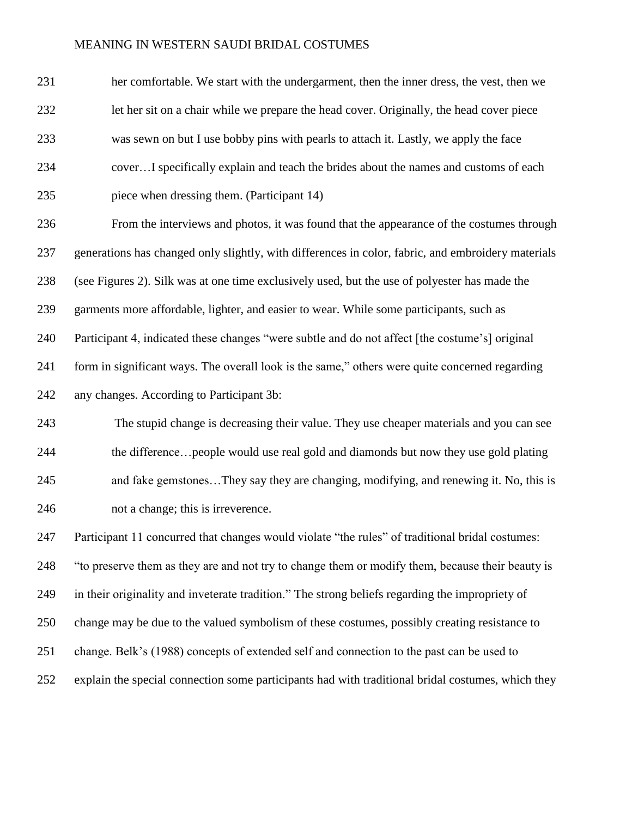her comfortable. We start with the undergarment, then the inner dress, the vest, then we let her sit on a chair while we prepare the head cover. Originally, the head cover piece was sewn on but I use bobby pins with pearls to attach it. Lastly, we apply the face cover…I specifically explain and teach the brides about the names and customs of each piece when dressing them. (Participant 14) From the interviews and photos, it was found that the appearance of the costumes through generations has changed only slightly, with differences in color, fabric, and embroidery materials

(see Figures 2). Silk was at one time exclusively used, but the use of polyester has made the

garments more affordable, lighter, and easier to wear. While some participants, such as

Participant 4, indicated these changes "were subtle and do not affect [the costume's] original

 form in significant ways. The overall look is the same," others were quite concerned regarding any changes. According to Participant 3b:

 The stupid change is decreasing their value. They use cheaper materials and you can see the difference…people would use real gold and diamonds but now they use gold plating and fake gemstones…They say they are changing, modifying, and renewing it. No, this is not a change; this is irreverence.

 Participant 11 concurred that changes would violate "the rules" of traditional bridal costumes: "to preserve them as they are and not try to change them or modify them, because their beauty is in their originality and inveterate tradition." The strong beliefs regarding the impropriety of change may be due to the valued symbolism of these costumes, possibly creating resistance to change. Belk's (1988) concepts of extended self and connection to the past can be used to explain the special connection some participants had with traditional bridal costumes, which they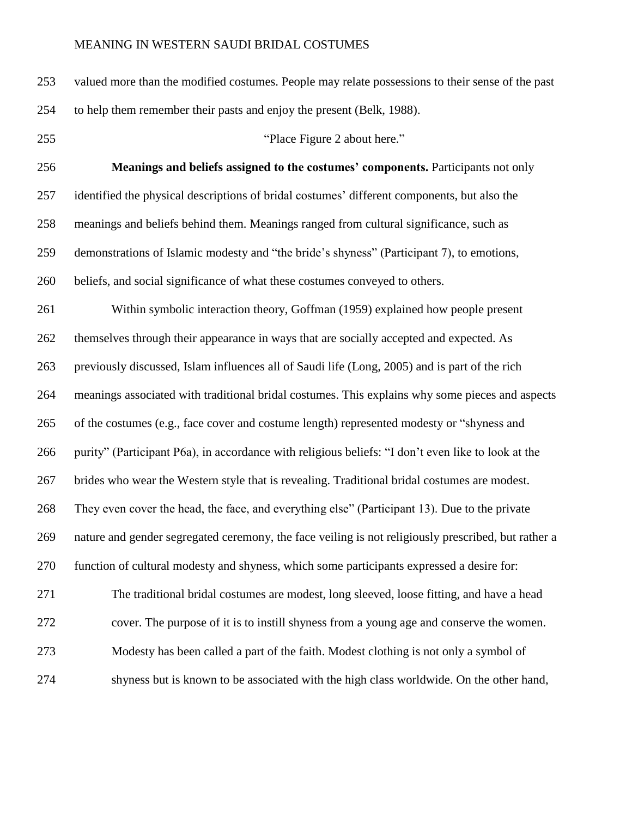| 253 | valued more than the modified costumes. People may relate possessions to their sense of the past    |
|-----|-----------------------------------------------------------------------------------------------------|
| 254 | to help them remember their pasts and enjoy the present (Belk, 1988).                               |
| 255 | "Place Figure 2 about here."                                                                        |
| 256 | Meanings and beliefs assigned to the costumes' components. Participants not only                    |
| 257 | identified the physical descriptions of bridal costumes' different components, but also the         |
| 258 | meanings and beliefs behind them. Meanings ranged from cultural significance, such as               |
| 259 | demonstrations of Islamic modesty and "the bride's shyness" (Participant 7), to emotions,           |
| 260 | beliefs, and social significance of what these costumes conveyed to others.                         |
| 261 | Within symbolic interaction theory, Goffman (1959) explained how people present                     |
| 262 | themselves through their appearance in ways that are socially accepted and expected. As             |
| 263 | previously discussed, Islam influences all of Saudi life (Long, 2005) and is part of the rich       |
| 264 | meanings associated with traditional bridal costumes. This explains why some pieces and aspects     |
| 265 | of the costumes (e.g., face cover and costume length) represented modesty or "shyness and           |
| 266 | purity" (Participant P6a), in accordance with religious beliefs: "I don't even like to look at the  |
| 267 | brides who wear the Western style that is revealing. Traditional bridal costumes are modest.        |
| 268 | They even cover the head, the face, and everything else" (Participant 13). Due to the private       |
| 269 | nature and gender segregated ceremony, the face veiling is not religiously prescribed, but rather a |
| 270 | function of cultural modesty and shyness, which some participants expressed a desire for:           |
| 271 | The traditional bridal costumes are modest, long sleeved, loose fitting, and have a head            |
| 272 | cover. The purpose of it is to instill shyness from a young age and conserve the women.             |
| 273 | Modesty has been called a part of the faith. Modest clothing is not only a symbol of                |
| 274 | shyness but is known to be associated with the high class worldwide. On the other hand,             |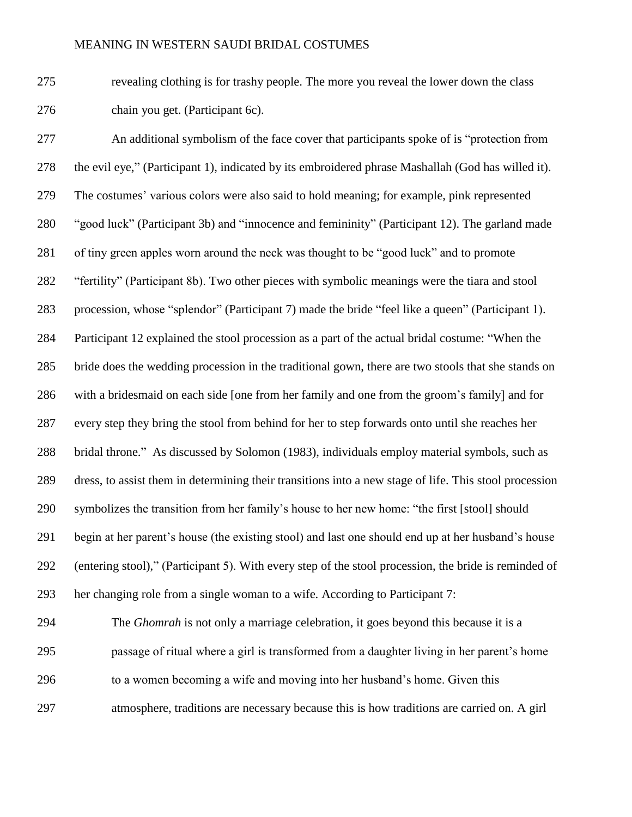revealing clothing is for trashy people. The more you reveal the lower down the class chain you get. (Participant 6c).

 An additional symbolism of the face cover that participants spoke of is "protection from the evil eye," (Participant 1), indicated by its embroidered phrase Mashallah (God has willed it). The costumes' various colors were also said to hold meaning; for example, pink represented "good luck" (Participant 3b) and "innocence and femininity" (Participant 12). The garland made of tiny green apples worn around the neck was thought to be "good luck" and to promote "fertility" (Participant 8b). Two other pieces with symbolic meanings were the tiara and stool procession, whose "splendor" (Participant 7) made the bride "feel like a queen" (Participant 1). Participant 12 explained the stool procession as a part of the actual bridal costume: "When the bride does the wedding procession in the traditional gown, there are two stools that she stands on with a bridesmaid on each side [one from her family and one from the groom's family] and for every step they bring the stool from behind for her to step forwards onto until she reaches her bridal throne." As discussed by Solomon (1983), individuals employ material symbols, such as dress, to assist them in determining their transitions into a new stage of life. This stool procession symbolizes the transition from her family's house to her new home: "the first [stool] should begin at her parent's house (the existing stool) and last one should end up at her husband's house (entering stool)," (Participant 5). With every step of the stool procession, the bride is reminded of her changing role from a single woman to a wife. According to Participant 7: The *Ghomrah* is not only a marriage celebration, it goes beyond this because it is a

 passage of ritual where a girl is transformed from a daughter living in her parent's home to a women becoming a wife and moving into her husband's home. Given this atmosphere, traditions are necessary because this is how traditions are carried on. A girl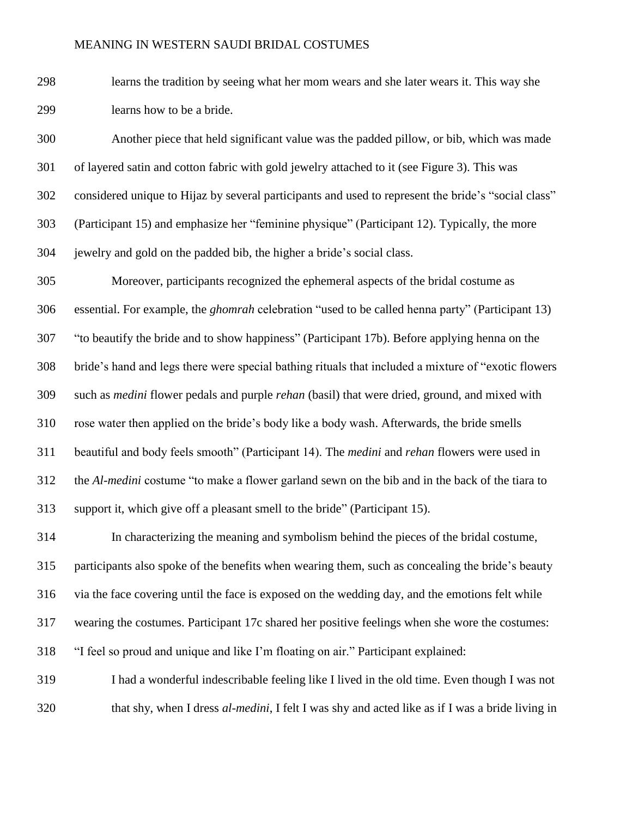learns the tradition by seeing what her mom wears and she later wears it. This way she learns how to be a bride.

 Another piece that held significant value was the padded pillow, or bib, which was made of layered satin and cotton fabric with gold jewelry attached to it (see Figure 3). This was considered unique to Hijaz by several participants and used to represent the bride's "social class" (Participant 15) and emphasize her "feminine physique" (Participant 12). Typically, the more jewelry and gold on the padded bib, the higher a bride's social class.

 Moreover, participants recognized the ephemeral aspects of the bridal costume as essential. For example, the *ghomrah* celebration "used to be called henna party" (Participant 13) "to beautify the bride and to show happiness" (Participant 17b). Before applying henna on the bride's hand and legs there were special bathing rituals that included a mixture of "exotic flowers such as *medini* flower pedals and purple *rehan* (basil) that were dried, ground, and mixed with rose water then applied on the bride's body like a body wash. Afterwards, the bride smells beautiful and body feels smooth" (Participant 14). The *medini* and *rehan* flowers were used in the *Al-medini* costume "to make a flower garland sewn on the bib and in the back of the tiara to support it, which give off a pleasant smell to the bride" (Participant 15).

 In characterizing the meaning and symbolism behind the pieces of the bridal costume, participants also spoke of the benefits when wearing them, such as concealing the bride's beauty via the face covering until the face is exposed on the wedding day, and the emotions felt while wearing the costumes. Participant 17c shared her positive feelings when she wore the costumes: "I feel so proud and unique and like I'm floating on air." Participant explained:

 I had a wonderful indescribable feeling like I lived in the old time. Even though I was not that shy, when I dress *al-medini*, I felt I was shy and acted like as if I was a bride living in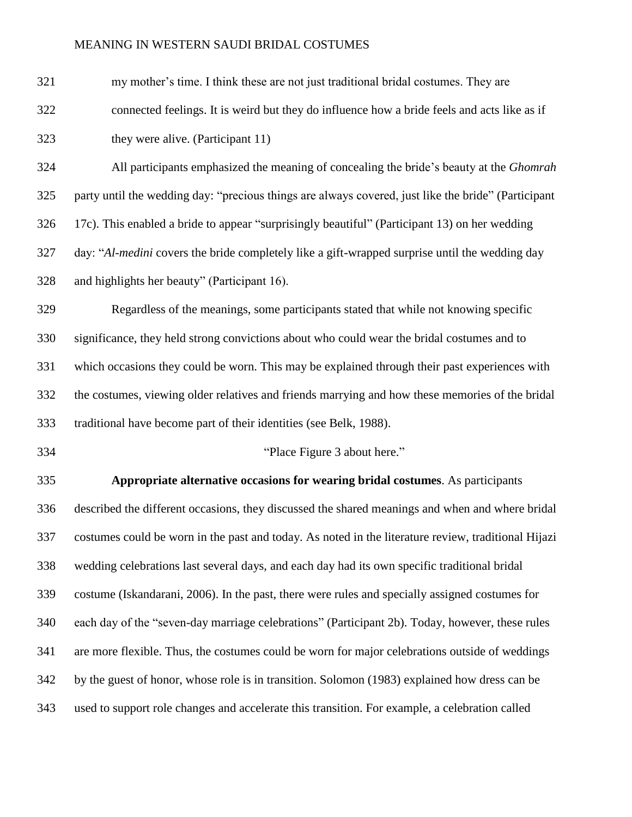| 321 | my mother's time. I think these are not just traditional bridal costumes. They are                  |
|-----|-----------------------------------------------------------------------------------------------------|
| 322 | connected feelings. It is weird but they do influence how a bride feels and acts like as if         |
| 323 | they were alive. (Participant 11)                                                                   |
| 324 | All participants emphasized the meaning of concealing the bride's beauty at the <i>Ghomrah</i>      |
| 325 | party until the wedding day: "precious things are always covered, just like the bride" (Participant |
| 326 | 17c). This enabled a bride to appear "surprisingly beautiful" (Participant 13) on her wedding       |
| 327 | day: "Al-medini covers the bride completely like a gift-wrapped surprise until the wedding day      |
| 328 | and highlights her beauty" (Participant 16).                                                        |
| 329 | Regardless of the meanings, some participants stated that while not knowing specific                |
| 330 | significance, they held strong convictions about who could wear the bridal costumes and to          |
| 331 | which occasions they could be worn. This may be explained through their past experiences with       |
| 332 | the costumes, viewing older relatives and friends marrying and how these memories of the bridal     |
| 333 | traditional have become part of their identities (see Belk, 1988).                                  |
| 334 | "Place Figure 3 about here."                                                                        |
| 335 | Appropriate alternative occasions for wearing bridal costumes. As participants                      |
| 336 | described the different occasions, they discussed the shared meanings and when and where bridal     |
| 337 | costumes could be worn in the past and today. As noted in the literature review, traditional Hijazi |
| 338 | wedding celebrations last several days, and each day had its own specific traditional bridal        |
| 339 | costume (Iskandarani, 2006). In the past, there were rules and specially assigned costumes for      |
| 340 | each day of the "seven-day marriage celebrations" (Participant 2b). Today, however, these rules     |
| 341 | are more flexible. Thus, the costumes could be worn for major celebrations outside of weddings      |
| 342 | by the guest of honor, whose role is in transition. Solomon (1983) explained how dress can be       |
| 343 | used to support role changes and accelerate this transition. For example, a celebration called      |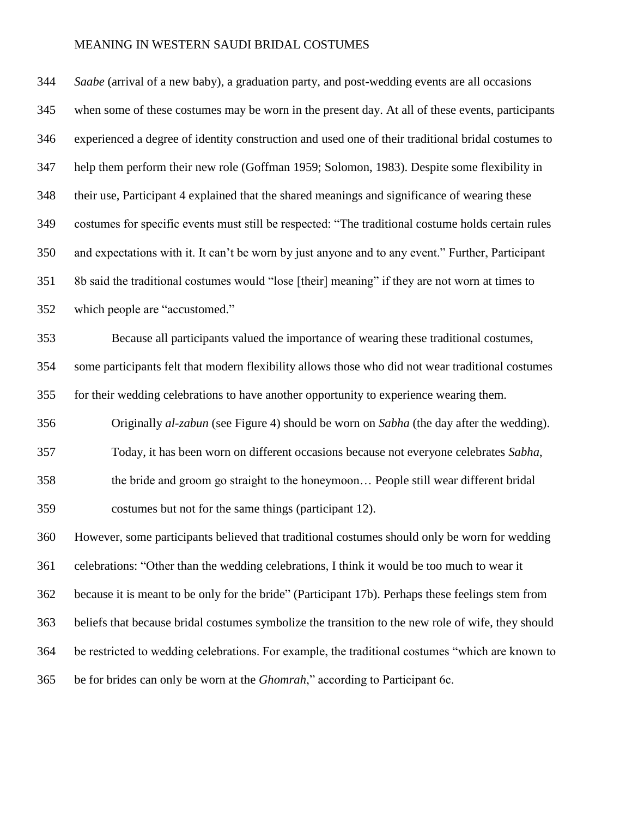*Saabe* (arrival of a new baby), a graduation party, and post-wedding events are all occasions when some of these costumes may be worn in the present day. At all of these events, participants experienced a degree of identity construction and used one of their traditional bridal costumes to help them perform their new role (Goffman 1959; Solomon, 1983). Despite some flexibility in their use, Participant 4 explained that the shared meanings and significance of wearing these costumes for specific events must still be respected: "The traditional costume holds certain rules and expectations with it. It can't be worn by just anyone and to any event." Further, Participant 8b said the traditional costumes would "lose [their] meaning" if they are not worn at times to which people are "accustomed." Because all participants valued the importance of wearing these traditional costumes, some participants felt that modern flexibility allows those who did not wear traditional costumes for their wedding celebrations to have another opportunity to experience wearing them. Originally *al-zabun* (see Figure 4) should be worn on *Sabha* (the day after the wedding). Today, it has been worn on different occasions because not everyone celebrates *Sabha*, the bride and groom go straight to the honeymoon… People still wear different bridal costumes but not for the same things (participant 12). However, some participants believed that traditional costumes should only be worn for wedding celebrations: "Other than the wedding celebrations, I think it would be too much to wear it because it is meant to be only for the bride" (Participant 17b). Perhaps these feelings stem from beliefs that because bridal costumes symbolize the transition to the new role of wife, they should be restricted to wedding celebrations. For example, the traditional costumes "which are known to be for brides can only be worn at the *Ghomrah*," according to Participant 6c.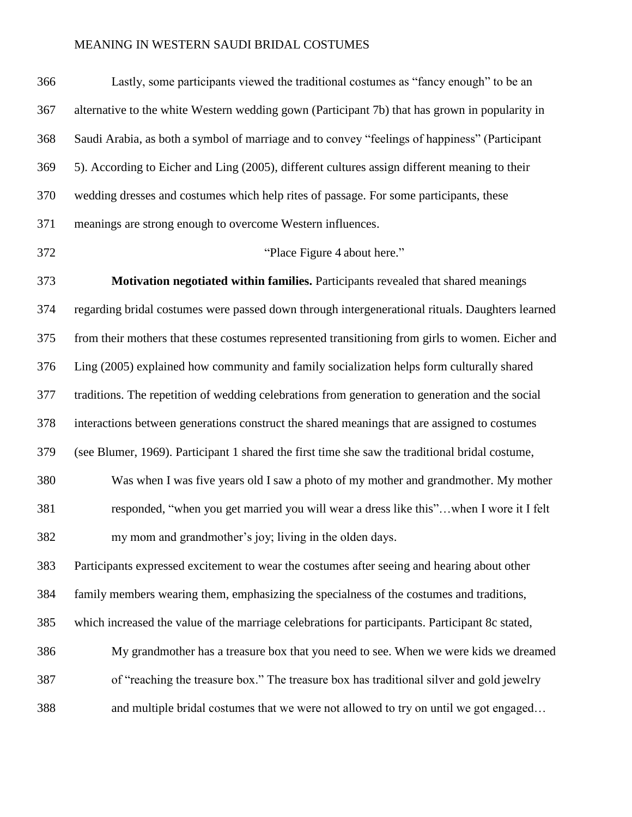| 366 | Lastly, some participants viewed the traditional costumes as "fancy enough" to be an             |
|-----|--------------------------------------------------------------------------------------------------|
| 367 | alternative to the white Western wedding gown (Participant 7b) that has grown in popularity in   |
| 368 | Saudi Arabia, as both a symbol of marriage and to convey "feelings of happiness" (Participant    |
| 369 | 5). According to Eicher and Ling (2005), different cultures assign different meaning to their    |
| 370 | wedding dresses and costumes which help rites of passage. For some participants, these           |
| 371 | meanings are strong enough to overcome Western influences.                                       |
| 372 | "Place Figure 4 about here."                                                                     |
| 373 | Motivation negotiated within families. Participants revealed that shared meanings                |
| 374 | regarding bridal costumes were passed down through intergenerational rituals. Daughters learned  |
| 375 | from their mothers that these costumes represented transitioning from girls to women. Eicher and |
| 376 | Ling (2005) explained how community and family socialization helps form culturally shared        |
| 377 | traditions. The repetition of wedding celebrations from generation to generation and the social  |
| 378 | interactions between generations construct the shared meanings that are assigned to costumes     |
| 379 | (see Blumer, 1969). Participant 1 shared the first time she saw the traditional bridal costume,  |
| 380 | Was when I was five years old I saw a photo of my mother and grandmother. My mother              |
| 381 | responded, "when you get married you will wear a dress like this"when I wore it I felt           |
| 382 | my mom and grandmother's joy; living in the olden days.                                          |
| 383 | Participants expressed excitement to wear the costumes after seeing and hearing about other      |
| 384 | family members wearing them, emphasizing the specialness of the costumes and traditions,         |
| 385 | which increased the value of the marriage celebrations for participants. Participant 8c stated,  |
| 386 | My grandmother has a treasure box that you need to see. When we were kids we dreamed             |
| 387 | of "reaching the treasure box." The treasure box has traditional silver and gold jewelry         |
| 388 | and multiple bridal costumes that we were not allowed to try on until we got engaged             |
|     |                                                                                                  |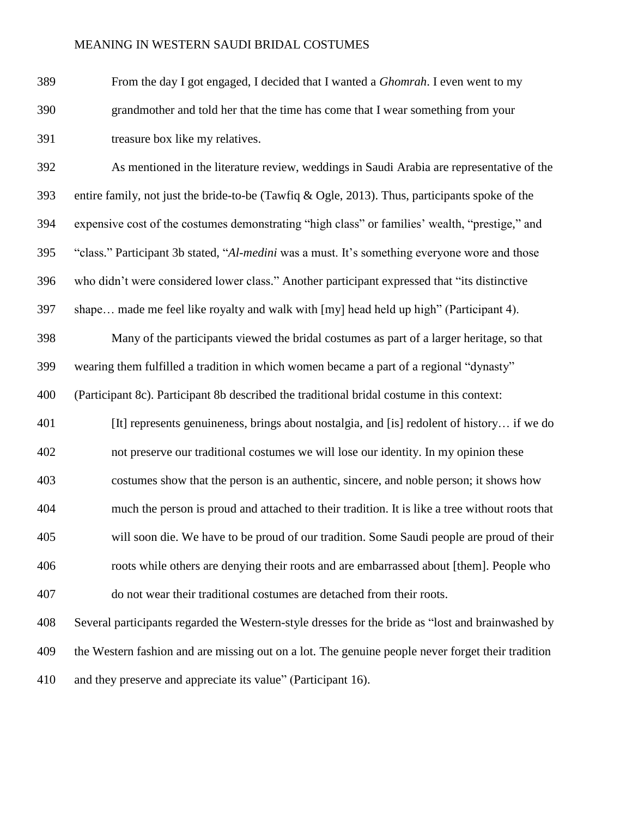From the day I got engaged, I decided that I wanted a *Ghomrah*. I even went to my grandmother and told her that the time has come that I wear something from your treasure box like my relatives.

 As mentioned in the literature review, weddings in Saudi Arabia are representative of the entire family, not just the bride-to-be (Tawfiq & Ogle, 2013). Thus, participants spoke of the expensive cost of the costumes demonstrating "high class" or families' wealth, "prestige," and "class." Participant 3b stated, "*Al-medini* was a must. It's something everyone wore and those who didn't were considered lower class." Another participant expressed that "its distinctive shape… made me feel like royalty and walk with [my] head held up high" (Participant 4). Many of the participants viewed the bridal costumes as part of a larger heritage, so that wearing them fulfilled a tradition in which women became a part of a regional "dynasty" (Participant 8c). Participant 8b described the traditional bridal costume in this context:

[It] represents genuineness, brings about nostalgia, and [is] redolent of history… if we do

not preserve our traditional costumes we will lose our identity. In my opinion these

costumes show that the person is an authentic, sincere, and noble person; it shows how

 much the person is proud and attached to their tradition. It is like a tree without roots that will soon die. We have to be proud of our tradition. Some Saudi people are proud of their roots while others are denying their roots and are embarrassed about [them]. People who do not wear their traditional costumes are detached from their roots.

 Several participants regarded the Western-style dresses for the bride as "lost and brainwashed by the Western fashion and are missing out on a lot. The genuine people never forget their tradition and they preserve and appreciate its value" (Participant 16).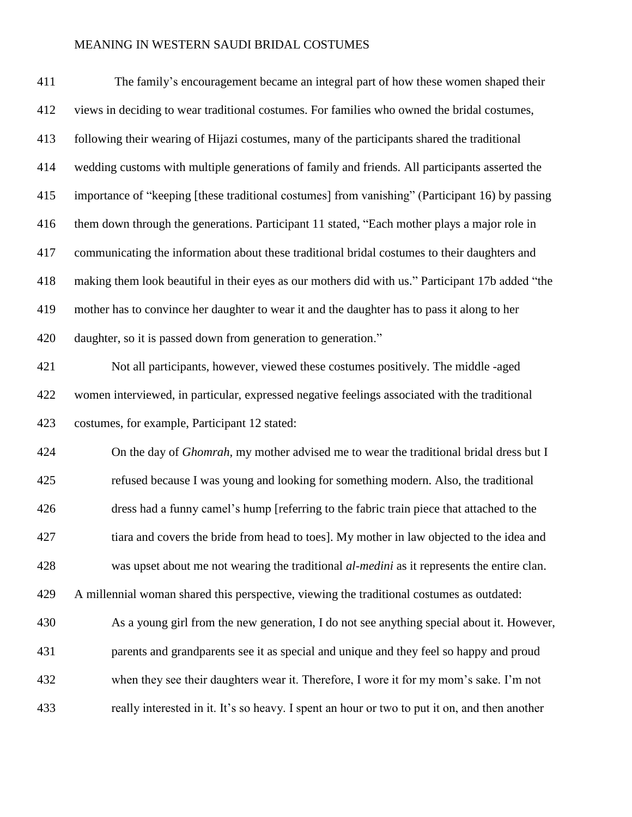| 411 | The family's encouragement became an integral part of how these women shaped their                |
|-----|---------------------------------------------------------------------------------------------------|
| 412 | views in deciding to wear traditional costumes. For families who owned the bridal costumes,       |
| 413 | following their wearing of Hijazi costumes, many of the participants shared the traditional       |
| 414 | wedding customs with multiple generations of family and friends. All participants asserted the    |
| 415 | importance of "keeping [these traditional costumes] from vanishing" (Participant 16) by passing   |
| 416 | them down through the generations. Participant 11 stated, "Each mother plays a major role in      |
| 417 | communicating the information about these traditional bridal costumes to their daughters and      |
| 418 | making them look beautiful in their eyes as our mothers did with us." Participant 17b added "the  |
| 419 | mother has to convince her daughter to wear it and the daughter has to pass it along to her       |
| 420 | daughter, so it is passed down from generation to generation."                                    |
| 421 | Not all participants, however, viewed these costumes positively. The middle -aged                 |
| 422 | women interviewed, in particular, expressed negative feelings associated with the traditional     |
| 423 | costumes, for example, Participant 12 stated:                                                     |
| 424 | On the day of <i>Ghomrah</i> , my mother advised me to wear the traditional bridal dress but I    |
| 425 | refused because I was young and looking for something modern. Also, the traditional               |
| 426 | dress had a funny camel's hump [referring to the fabric train piece that attached to the          |
| 427 | tiara and covers the bride from head to toes]. My mother in law objected to the idea and          |
| 428 | was upset about me not wearing the traditional <i>al-medini</i> as it represents the entire clan. |
| 429 | A millennial woman shared this perspective, viewing the traditional costumes as outdated:         |
| 430 | As a young girl from the new generation, I do not see anything special about it. However,         |
| 431 | parents and grandparents see it as special and unique and they feel so happy and proud            |
| 432 | when they see their daughters wear it. Therefore, I wore it for my mom's sake. I'm not            |
| 433 | really interested in it. It's so heavy. I spent an hour or two to put it on, and then another     |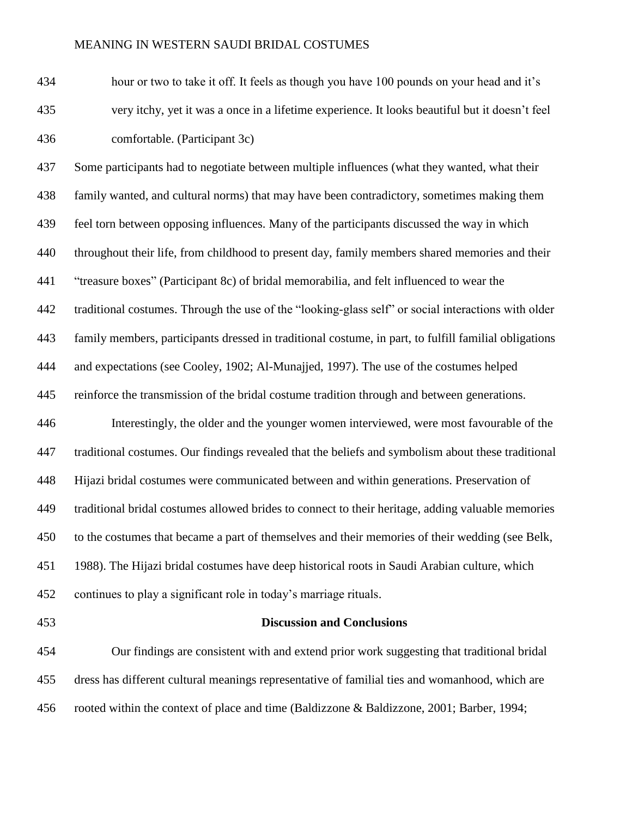hour or two to take it off. It feels as though you have 100 pounds on your head and it's very itchy, yet it was a once in a lifetime experience. It looks beautiful but it doesn't feel comfortable. (Participant 3c)

 Some participants had to negotiate between multiple influences (what they wanted, what their family wanted, and cultural norms) that may have been contradictory, sometimes making them feel torn between opposing influences. Many of the participants discussed the way in which throughout their life, from childhood to present day, family members shared memories and their "treasure boxes" (Participant 8c) of bridal memorabilia, and felt influenced to wear the traditional costumes. Through the use of the "looking-glass self" or social interactions with older family members, participants dressed in traditional costume, in part, to fulfill familial obligations and expectations (see Cooley, 1902; Al-Munajjed, 1997). The use of the costumes helped reinforce the transmission of the bridal costume tradition through and between generations. Interestingly, the older and the younger women interviewed, were most favourable of the traditional costumes. Our findings revealed that the beliefs and symbolism about these traditional Hijazi bridal costumes were communicated between and within generations. Preservation of traditional bridal costumes allowed brides to connect to their heritage, adding valuable memories to the costumes that became a part of themselves and their memories of their wedding (see Belk, 1988). The Hijazi bridal costumes have deep historical roots in Saudi Arabian culture, which continues to play a significant role in today's marriage rituals.

#### **Discussion and Conclusions**

 Our findings are consistent with and extend prior work suggesting that traditional bridal dress has different cultural meanings representative of familial ties and womanhood, which are rooted within the context of place and time (Baldizzone & Baldizzone, 2001; Barber, 1994;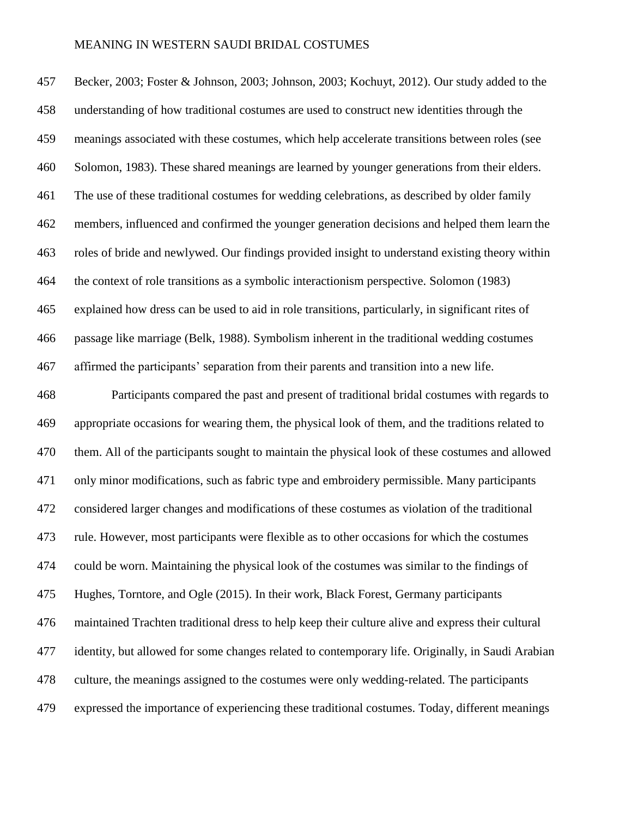Becker, 2003; Foster & Johnson, 2003; Johnson, 2003; Kochuyt, 2012). Our study added to the understanding of how traditional costumes are used to construct new identities through the meanings associated with these costumes, which help accelerate transitions between roles (see Solomon, 1983). These shared meanings are learned by younger generations from their elders. The use of these traditional costumes for wedding celebrations, as described by older family members, influenced and confirmed the younger generation decisions and helped them learn the roles of bride and newlywed. Our findings provided insight to understand existing theory within the context of role transitions as a symbolic interactionism perspective. Solomon (1983) explained how dress can be used to aid in role transitions, particularly, in significant rites of passage like marriage (Belk, 1988). Symbolism inherent in the traditional wedding costumes affirmed the participants' separation from their parents and transition into a new life.

 Participants compared the past and present of traditional bridal costumes with regards to appropriate occasions for wearing them, the physical look of them, and the traditions related to them. All of the participants sought to maintain the physical look of these costumes and allowed only minor modifications, such as fabric type and embroidery permissible. Many participants considered larger changes and modifications of these costumes as violation of the traditional rule. However, most participants were flexible as to other occasions for which the costumes could be worn. Maintaining the physical look of the costumes was similar to the findings of Hughes, Torntore, and Ogle (2015). In their work, Black Forest, Germany participants maintained Trachten traditional dress to help keep their culture alive and express their cultural identity, but allowed for some changes related to contemporary life. Originally, in Saudi Arabian culture, the meanings assigned to the costumes were only wedding-related. The participants expressed the importance of experiencing these traditional costumes. Today, different meanings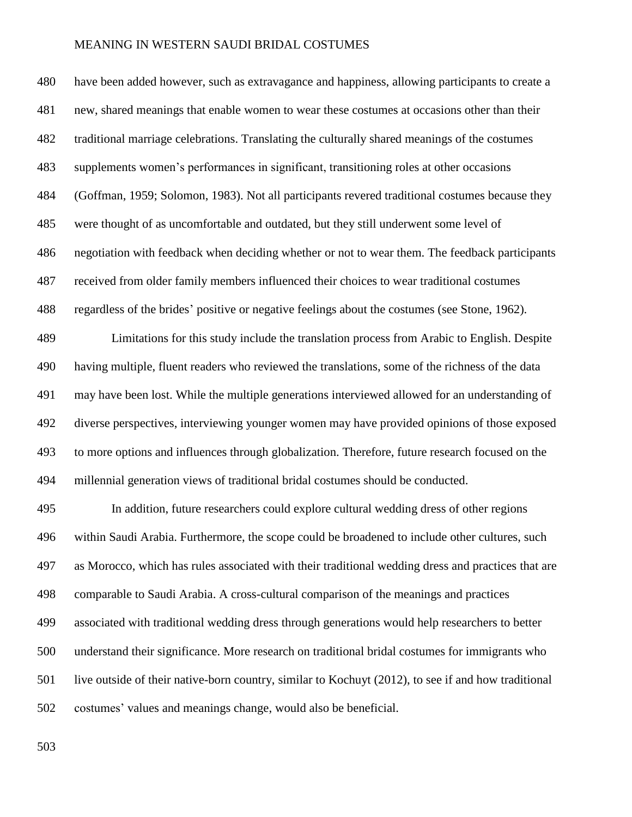have been added however, such as extravagance and happiness, allowing participants to create a new, shared meanings that enable women to wear these costumes at occasions other than their traditional marriage celebrations. Translating the culturally shared meanings of the costumes supplements women's performances in significant, transitioning roles at other occasions (Goffman, 1959; Solomon, 1983). Not all participants revered traditional costumes because they were thought of as uncomfortable and outdated, but they still underwent some level of negotiation with feedback when deciding whether or not to wear them. The feedback participants received from older family members influenced their choices to wear traditional costumes regardless of the brides' positive or negative feelings about the costumes (see Stone, 1962). Limitations for this study include the translation process from Arabic to English. Despite having multiple, fluent readers who reviewed the translations, some of the richness of the data may have been lost. While the multiple generations interviewed allowed for an understanding of diverse perspectives, interviewing younger women may have provided opinions of those exposed to more options and influences through globalization. Therefore, future research focused on the millennial generation views of traditional bridal costumes should be conducted. In addition, future researchers could explore cultural wedding dress of other regions within Saudi Arabia. Furthermore, the scope could be broadened to include other cultures, such as Morocco, which has rules associated with their traditional wedding dress and practices that are comparable to Saudi Arabia. A cross-cultural comparison of the meanings and practices associated with traditional wedding dress through generations would help researchers to better understand their significance. More research on traditional bridal costumes for immigrants who

live outside of their native-born country, similar to Kochuyt (2012), to see if and how traditional

costumes' values and meanings change, would also be beneficial.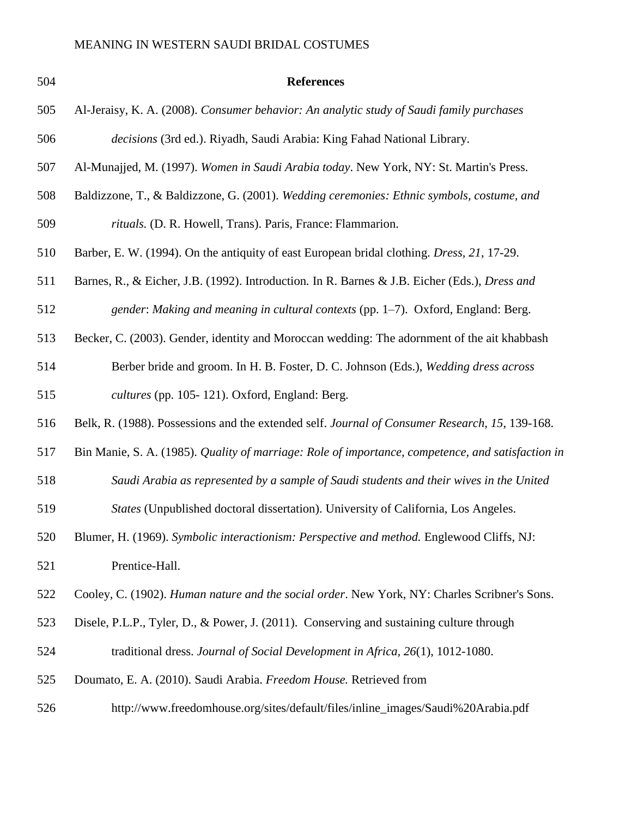| 504 | <b>References</b>                                                                                  |
|-----|----------------------------------------------------------------------------------------------------|
| 505 | Al-Jeraisy, K. A. (2008). Consumer behavior: An analytic study of Saudi family purchases           |
| 506 | decisions (3rd ed.). Riyadh, Saudi Arabia: King Fahad National Library.                            |
| 507 | Al-Munajjed, M. (1997). Women in Saudi Arabia today. New York, NY: St. Martin's Press.             |
| 508 | Baldizzone, T., & Baldizzone, G. (2001). Wedding ceremonies: Ethnic symbols, costume, and          |
| 509 | rituals. (D. R. Howell, Trans). Paris, France: Flammarion.                                         |
| 510 | Barber, E. W. (1994). On the antiquity of east European bridal clothing. <i>Dress</i> , 21, 17-29. |
| 511 | Barnes, R., & Eicher, J.B. (1992). Introduction. In R. Barnes & J.B. Eicher (Eds.), Dress and      |
| 512 | gender: Making and meaning in cultural contexts (pp. 1-7). Oxford, England: Berg.                  |
| 513 | Becker, C. (2003). Gender, identity and Moroccan wedding: The adornment of the ait khabbash        |
| 514 | Berber bride and groom. In H. B. Foster, D. C. Johnson (Eds.), Wedding dress across                |
| 515 | cultures (pp. 105-121). Oxford, England: Berg.                                                     |
| 516 | Belk, R. (1988). Possessions and the extended self. Journal of Consumer Research, 15, 139-168.     |
| 517 | Bin Manie, S. A. (1985). Quality of marriage: Role of importance, competence, and satisfaction in  |
| 518 | Saudi Arabia as represented by a sample of Saudi students and their wives in the United            |
| 519 | States (Unpublished doctoral dissertation). University of California, Los Angeles.                 |
| 520 | Blumer, H. (1969). Symbolic interactionism: Perspective and method. Englewood Cliffs, NJ:          |
| 521 | Prentice-Hall.                                                                                     |
| 522 | Cooley, C. (1902). Human nature and the social order. New York, NY: Charles Scribner's Sons.       |
| 523 | Disele, P.L.P., Tyler, D., & Power, J. (2011). Conserving and sustaining culture through           |
| 524 | traditional dress. Journal of Social Development in Africa, 26(1), 1012-1080.                      |
| 525 | Doumato, E. A. (2010). Saudi Arabia. Freedom House. Retrieved from                                 |
| 526 | http://www.freedomhouse.org/sites/default/files/inline_images/Saudi%20Arabia.pdf                   |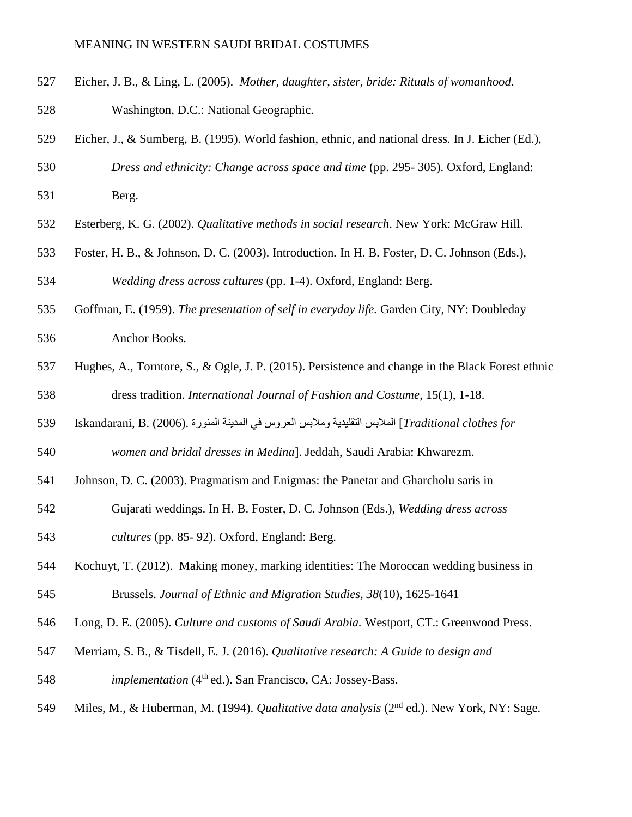- Eicher, J. B., & Ling, L. (2005). *Mother, daughter, sister, bride: Rituals of womanhood*. Washington, D.C.: National Geographic.
- Eicher, J., & Sumberg, B. (1995). World fashion, ethnic, and national dress. In J. Eicher (Ed.), *Dress and ethnicity: Change across space and time* (pp. 295- 305). Oxford, England:
- 
- Berg.
- Esterberg, K. G. (2002). *Qualitative methods in social research*. New York: McGraw Hill.
- Foster, H. B., & Johnson, D. C. (2003). Introduction*.* In H. B. Foster, D. C. Johnson (Eds.), *Wedding dress across cultures* (pp. 1-4). Oxford, England: Berg.
- Goffman, E. (1959). *The presentation of self in everyday life.* Garden City, NY: Doubleday
- Anchor Books.
- Hughes, A., Torntore, S., & Ogle, J. P. (2015). Persistence and change in the Black Forest ethnic dress tradition. *International Journal of Fashion and Costume*, 15(1), 1-18.
- *for clothes Traditional* [المالبس التقليدية ومالبس العروس في المدينة المنورة .(2006) .B ,Iskandarani

*women and bridal dresses in Medina*]. Jeddah, Saudi Arabia: Khwarezm.

- Johnson, D. C. (2003). Pragmatism and Enigmas: the Panetar and Gharcholu saris in
- Gujarati weddings. In H. B. Foster, D. C. Johnson (Eds.), *Wedding dress across*
- *cultures* (pp. 85- 92). Oxford, England: Berg.
- Kochuyt, T. (2012). Making money, marking identities: The Moroccan wedding business in Brussels. *Journal of Ethnic and Migration Studies, 38*(10), 1625-1641
- Long, D. E. (2005). *Culture and customs of Saudi Arabia.* Westport, CT.: Greenwood Press.
- Merriam, S. B., & Tisdell, E. J. (2016). *Qualitative research: A Guide to design and*
- 548 *implementation* (4<sup>th</sup> ed.). San Francisco, CA: Jossey-Bass.
- 549 Miles, M., & Huberman, M. (1994). *Qualitative data analysis* (2<sup>nd</sup> ed.). New York, NY: Sage.